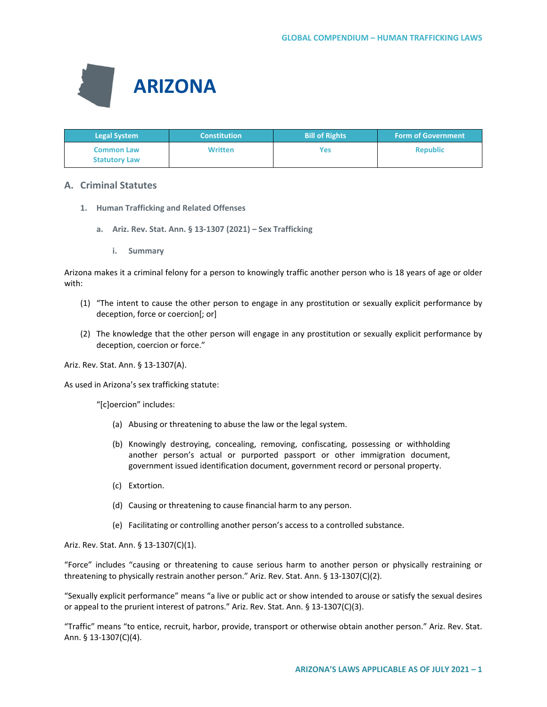

| <b>Legal System</b>                       | <b>Constitution</b> | <b>Bill of Rights</b> | <b>Form of Government</b> |
|-------------------------------------------|---------------------|-----------------------|---------------------------|
| <b>Common Law</b><br><b>Statutory Law</b> | <b>Written</b>      | Yes                   | <b>Republic</b>           |

# **A. Criminal Statutes**

- **1. Human Trafficking and Related Offenses**
	- **a. Ariz. Rev. Stat. Ann. § 13-1307 (2021) – Sex Trafficking**
		- **i. Summary**

Arizona makes it a criminal felony for a person to knowingly traffic another person who is 18 years of age or older with:

- (1) "The intent to cause the other person to engage in any prostitution or sexually explicit performance by deception, force or coercion[; or]
- (2) The knowledge that the other person will engage in any prostitution or sexually explicit performance by deception, coercion or force."

Ariz. Rev. Stat. Ann. § 13-1307(A).

As used in Arizona's sex trafficking statute:

"[c]oercion" includes:

- (a) Abusing or threatening to abuse the law or the legal system.
- (b) Knowingly destroying, concealing, removing, confiscating, possessing or withholding another person's actual or purported passport or other immigration document, government issued identification document, government record or personal property.
- (c) Extortion.
- (d) Causing or threatening to cause financial harm to any person.
- (e) Facilitating or controlling another person's access to a controlled substance.

Ariz. Rev. Stat. Ann. § 13-1307(C)(1).

"Force" includes "causing or threatening to cause serious harm to another person or physically restraining or threatening to physically restrain another person." Ariz. Rev. Stat. Ann. § 13-1307(C)(2).

"Sexually explicit performance" means "a live or public act or show intended to arouse or satisfy the sexual desires or appeal to the prurient interest of patrons." Ariz. Rev. Stat. Ann. § 13-1307(C)(3).

"Traffic" means "to entice, recruit, harbor, provide, transport or otherwise obtain another person." Ariz. Rev. Stat. Ann. § 13-1307(C)(4).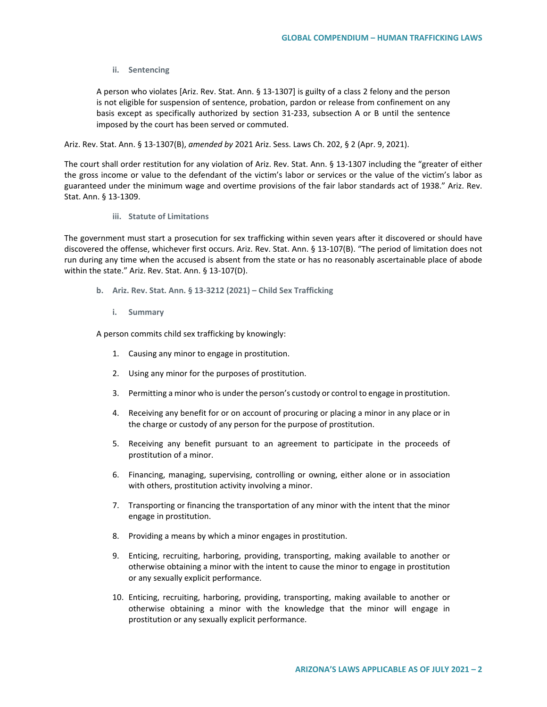### **ii. Sentencing**

A person who violates [Ariz. Rev. Stat. Ann. § 13-1307] is guilty of a class 2 felony and the person is not eligible for suspension of sentence, probation, pardon or release from confinement on any basis except as specifically authorized by section 31-233, subsection A or B until the sentence imposed by the court has been served or commuted.

Ariz. Rev. Stat. Ann. § 13-1307(B), *amended by* 2021 Ariz. Sess. Laws Ch. 202, § 2 (Apr. 9, 2021).

The court shall order restitution for any violation of Ariz. Rev. Stat. Ann. § 13-1307 including the "greater of either the gross income or value to the defendant of the victim's labor or services or the value of the victim's labor as guaranteed under the minimum wage and overtime provisions of the fair labor standards act of 1938." Ariz. Rev. Stat. Ann. § 13-1309.

**iii. Statute of Limitations**

The government must start a prosecution for sex trafficking within seven years after it discovered or should have discovered the offense, whichever first occurs. Ariz. Rev. Stat. Ann. § 13-107(B). "The period of limitation does not run during any time when the accused is absent from the state or has no reasonably ascertainable place of abode within the state." Ariz. Rev. Stat. Ann. § 13-107(D).

- **b. Ariz. Rev. Stat. Ann. § 13-3212 (2021) – Child Sex Trafficking**
	- **i. Summary**

A person commits child sex trafficking by knowingly:

- 1. Causing any minor to engage in prostitution.
- 2. Using any minor for the purposes of prostitution.
- 3. Permitting a minor who is under the person's custody or control to engage in prostitution.
- 4. Receiving any benefit for or on account of procuring or placing a minor in any place or in the charge or custody of any person for the purpose of prostitution.
- 5. Receiving any benefit pursuant to an agreement to participate in the proceeds of prostitution of a minor.
- 6. Financing, managing, supervising, controlling or owning, either alone or in association with others, prostitution activity involving a minor.
- 7. Transporting or financing the transportation of any minor with the intent that the minor engage in prostitution.
- 8. Providing a means by which a minor engages in prostitution.
- 9. Enticing, recruiting, harboring, providing, transporting, making available to another or otherwise obtaining a minor with the intent to cause the minor to engage in prostitution or any sexually explicit performance.
- 10. Enticing, recruiting, harboring, providing, transporting, making available to another or otherwise obtaining a minor with the knowledge that the minor will engage in prostitution or any sexually explicit performance.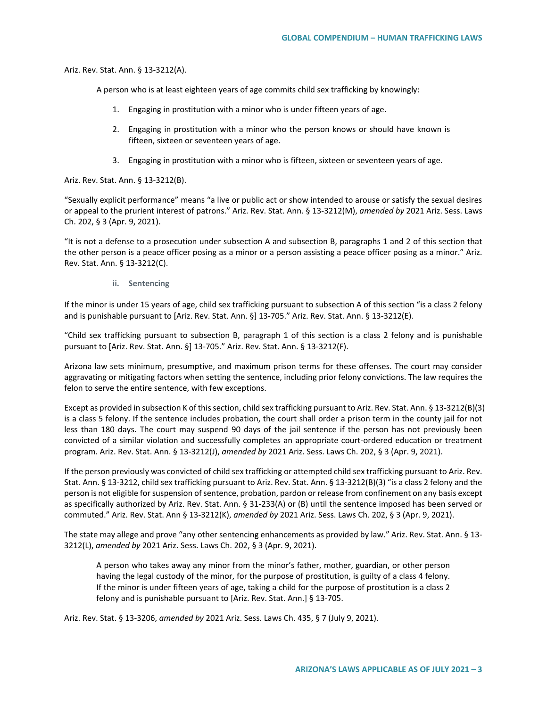Ariz. Rev. Stat. Ann. § 13-3212(A).

A person who is at least eighteen years of age commits child sex trafficking by knowingly:

- 1. Engaging in prostitution with a minor who is under fifteen years of age.
- 2. Engaging in prostitution with a minor who the person knows or should have known is fifteen, sixteen or seventeen years of age.
- 3. Engaging in prostitution with a minor who is fifteen, sixteen or seventeen years of age.

Ariz. Rev. Stat. Ann. § 13-3212(B).

"Sexually explicit performance" means "a live or public act or show intended to arouse or satisfy the sexual desires or appeal to the prurient interest of patrons." Ariz. Rev. Stat. Ann. § 13-3212(M), *amended by* 2021 Ariz. Sess. Laws Ch. 202, § 3 (Apr. 9, 2021).

"It is not a defense to a prosecution under subsection A and subsection B, paragraphs 1 and 2 of this section that the other person is a peace officer posing as a minor or a person assisting a peace officer posing as a minor." Ariz. Rev. Stat. Ann. § 13-3212(C).

#### **ii. Sentencing**

If the minor is under 15 years of age, child sex trafficking pursuant to subsection A of this section "is a class 2 felony and is punishable pursuant to [Ariz. Rev. Stat. Ann. §] 13-705." Ariz. Rev. Stat. Ann. § 13-3212(E).

"Child sex trafficking pursuant to subsection B, paragraph 1 of this section is a class 2 felony and is punishable pursuant to [Ariz. Rev. Stat. Ann. §] 13-705." Ariz. Rev. Stat. Ann. § 13-3212(F).

Arizona law sets minimum, presumptive, and maximum prison terms for these offenses. The court may consider aggravating or mitigating factors when setting the sentence, including prior felony convictions. The law requires the felon to serve the entire sentence, with few exceptions.

Except as provided in subsection K of this section, child sex trafficking pursuant to Ariz. Rev. Stat. Ann. § 13-3212(B)(3) is a class 5 felony. If the sentence includes probation, the court shall order a prison term in the county jail for not less than 180 days. The court may suspend 90 days of the jail sentence if the person has not previously been convicted of a similar violation and successfully completes an appropriate court-ordered education or treatment program. Ariz. Rev. Stat. Ann. § 13-3212(J), *amended by* 2021 Ariz. Sess. Laws Ch. 202, § 3 (Apr. 9, 2021).

If the person previously was convicted of child sex trafficking or attempted child sex trafficking pursuant to Ariz. Rev. Stat. Ann. § 13-3212, child sex trafficking pursuant to Ariz. Rev. Stat. Ann. § 13-3212(B)(3) "is a class 2 felony and the person is not eligible for suspension of sentence, probation, pardon or release from confinement on any basis except as specifically authorized by Ariz. Rev. Stat. Ann. § 31-233(A) or (B) until the sentence imposed has been served or commuted." Ariz. Rev. Stat. Ann § 13-3212(K), *amended by* 2021 Ariz. Sess. Laws Ch. 202, § 3 (Apr. 9, 2021).

The state may allege and prove "any other sentencing enhancements as provided by law." Ariz. Rev. Stat. Ann. § 13- 3212(L), *amended by* 2021 Ariz. Sess. Laws Ch. 202, § 3 (Apr. 9, 2021).

A person who takes away any minor from the minor's father, mother, guardian, or other person having the legal custody of the minor, for the purpose of prostitution, is guilty of a class 4 felony. If the minor is under fifteen years of age, taking a child for the purpose of prostitution is a class 2 felony and is punishable pursuant to [Ariz. Rev. Stat. Ann.] § 13-705.

Ariz. Rev. Stat. § 13-3206, *amended by* 2021 Ariz. Sess. Laws Ch. 435, § 7 (July 9, 2021).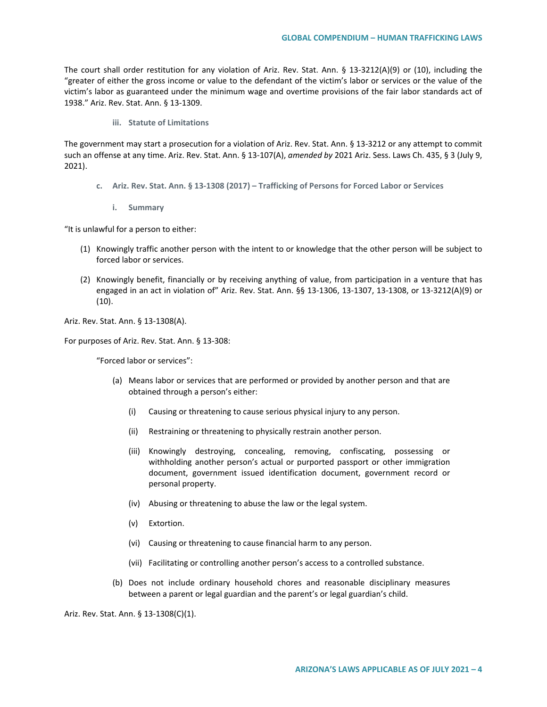The court shall order restitution for any violation of Ariz. Rev. Stat. Ann. § 13-3212(A)(9) or (10), including the "greater of either the gross income or value to the defendant of the victim's labor or services or the value of the victim's labor as guaranteed under the minimum wage and overtime provisions of the fair labor standards act of 1938." Ariz. Rev. Stat. Ann. § 13-1309.

**iii. Statute of Limitations**

The government may start a prosecution for a violation of Ariz. Rev. Stat. Ann. § 13-3212 or any attempt to commit such an offense at any time. Ariz. Rev. Stat. Ann. § 13-107(A), *amended by* 2021 Ariz. Sess. Laws Ch. 435, § 3 (July 9, 2021).

- **c. Ariz. Rev. Stat. Ann. § 13-1308 (2017) – Trafficking of Persons for Forced Labor or Services**
	- **i. Summary**

"It is unlawful for a person to either:

- (1) Knowingly traffic another person with the intent to or knowledge that the other person will be subject to forced labor or services.
- (2) Knowingly benefit, financially or by receiving anything of value, from participation in a venture that has engaged in an act in violation of" Ariz. Rev. Stat. Ann. §§ 13-1306, 13-1307, 13-1308, or 13-3212(A)(9) or (10).

Ariz. Rev. Stat. Ann. § 13-1308(A).

For purposes of Ariz. Rev. Stat. Ann. § 13-308:

"Forced labor or services":

- (a) Means labor or services that are performed or provided by another person and that are obtained through a person's either:
	- (i) Causing or threatening to cause serious physical injury to any person.
	- (ii) Restraining or threatening to physically restrain another person.
	- (iii) Knowingly destroying, concealing, removing, confiscating, possessing or withholding another person's actual or purported passport or other immigration document, government issued identification document, government record or personal property.
	- (iv) Abusing or threatening to abuse the law or the legal system.
	- (v) Extortion.
	- (vi) Causing or threatening to cause financial harm to any person.
	- (vii) Facilitating or controlling another person's access to a controlled substance.
- (b) Does not include ordinary household chores and reasonable disciplinary measures between a parent or legal guardian and the parent's or legal guardian's child.

Ariz. Rev. Stat. Ann. § 13-1308(C)(1).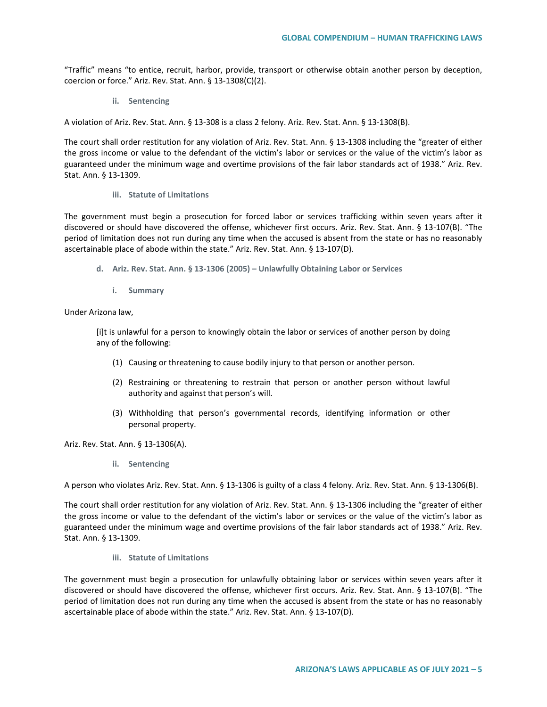"Traffic" means "to entice, recruit, harbor, provide, transport or otherwise obtain another person by deception, coercion or force." Ariz. Rev. Stat. Ann. § 13-1308(C)(2).

**ii. Sentencing**

A violation of Ariz. Rev. Stat. Ann. § 13-308 is a class 2 felony. Ariz. Rev. Stat. Ann. § 13-1308(B).

The court shall order restitution for any violation of Ariz. Rev. Stat. Ann. § 13-1308 including the "greater of either the gross income or value to the defendant of the victim's labor or services or the value of the victim's labor as guaranteed under the minimum wage and overtime provisions of the fair labor standards act of 1938." Ariz. Rev. Stat. Ann. § 13-1309.

#### **iii. Statute of Limitations**

The government must begin a prosecution for forced labor or services trafficking within seven years after it discovered or should have discovered the offense, whichever first occurs. Ariz. Rev. Stat. Ann. § 13-107(B). "The period of limitation does not run during any time when the accused is absent from the state or has no reasonably ascertainable place of abode within the state." Ariz. Rev. Stat. Ann. § 13-107(D).

- **d. Ariz. Rev. Stat. Ann. § 13-1306 (2005) – Unlawfully Obtaining Labor or Services**
	- **i. Summary**

#### Under Arizona law,

[i]t is unlawful for a person to knowingly obtain the labor or services of another person by doing any of the following:

- (1) Causing or threatening to cause bodily injury to that person or another person.
- (2) Restraining or threatening to restrain that person or another person without lawful authority and against that person's will.
- (3) Withholding that person's governmental records, identifying information or other personal property.

Ariz. Rev. Stat. Ann. § 13-1306(A).

**ii. Sentencing**

A person who violates Ariz. Rev. Stat. Ann. § 13-1306 is guilty of a class 4 felony. Ariz. Rev. Stat. Ann. § 13-1306(B).

The court shall order restitution for any violation of Ariz. Rev. Stat. Ann. § 13-1306 including the "greater of either the gross income or value to the defendant of the victim's labor or services or the value of the victim's labor as guaranteed under the minimum wage and overtime provisions of the fair labor standards act of 1938." Ariz. Rev. Stat. Ann. § 13-1309.

**iii. Statute of Limitations**

The government must begin a prosecution for unlawfully obtaining labor or services within seven years after it discovered or should have discovered the offense, whichever first occurs. Ariz. Rev. Stat. Ann. § 13-107(B). "The period of limitation does not run during any time when the accused is absent from the state or has no reasonably ascertainable place of abode within the state." Ariz. Rev. Stat. Ann. § 13-107(D).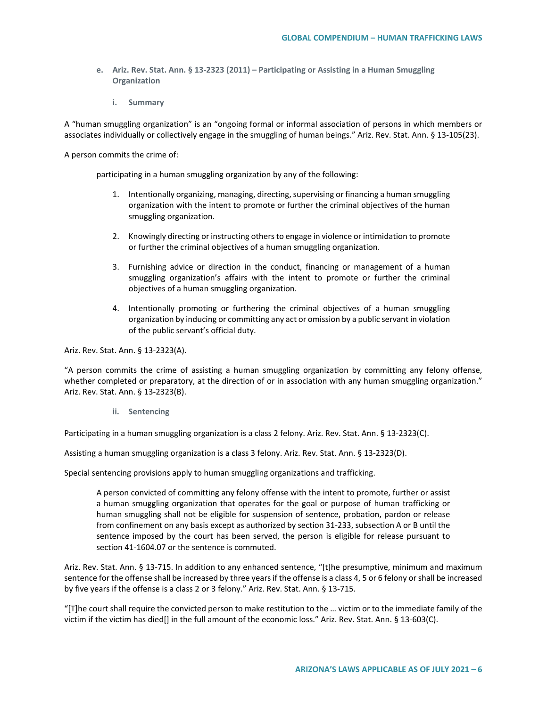- **e. Ariz. Rev. Stat. Ann. § 13-2323 (2011) – Participating or Assisting in a Human Smuggling Organization**
	- **i. Summary**

A "human smuggling organization" is an "ongoing formal or informal association of persons in which members or associates individually or collectively engage in the smuggling of human beings." Ariz. Rev. Stat. Ann. § 13-105(23).

A person commits the crime of:

participating in a human smuggling organization by any of the following:

- 1. Intentionally organizing, managing, directing, supervising or financing a human smuggling organization with the intent to promote or further the criminal objectives of the human smuggling organization.
- 2. Knowingly directing or instructing others to engage in violence or intimidation to promote or further the criminal objectives of a human smuggling organization.
- 3. Furnishing advice or direction in the conduct, financing or management of a human smuggling organization's affairs with the intent to promote or further the criminal objectives of a human smuggling organization.
- 4. Intentionally promoting or furthering the criminal objectives of a human smuggling organization by inducing or committing any act or omission by a public servant in violation of the public servant's official duty.

Ariz. Rev. Stat. Ann. § 13-2323(A).

"A person commits the crime of assisting a human smuggling organization by committing any felony offense, whether completed or preparatory, at the direction of or in association with any human smuggling organization." Ariz. Rev. Stat. Ann. § 13-2323(B).

**ii. Sentencing**

Participating in a human smuggling organization is a class 2 felony. Ariz. Rev. Stat. Ann. § 13-2323(C).

Assisting a human smuggling organization is a class 3 felony. Ariz. Rev. Stat. Ann. § 13-2323(D).

Special sentencing provisions apply to human smuggling organizations and trafficking.

A person convicted of committing any felony offense with the intent to promote, further or assist a human smuggling organization that operates for the goal or purpose of human trafficking or human smuggling shall not be eligible for suspension of sentence, probation, pardon or release from confinement on any basis except as authorized by section 31-233, subsection A or B until the sentence imposed by the court has been served, the person is eligible for release pursuant to section 41-1604.07 or the sentence is commuted.

Ariz. Rev. Stat. Ann. § 13-715. In addition to any enhanced sentence, "[t]he presumptive, minimum and maximum sentence for the offense shall be increased by three years if the offense is a class 4, 5 or 6 felony or shall be increased by five years if the offense is a class 2 or 3 felony." Ariz. Rev. Stat. Ann. § 13-715.

"[T]he court shall require the convicted person to make restitution to the … victim or to the immediate family of the victim if the victim has died[] in the full amount of the economic loss." Ariz. Rev. Stat. Ann. § 13-603(C).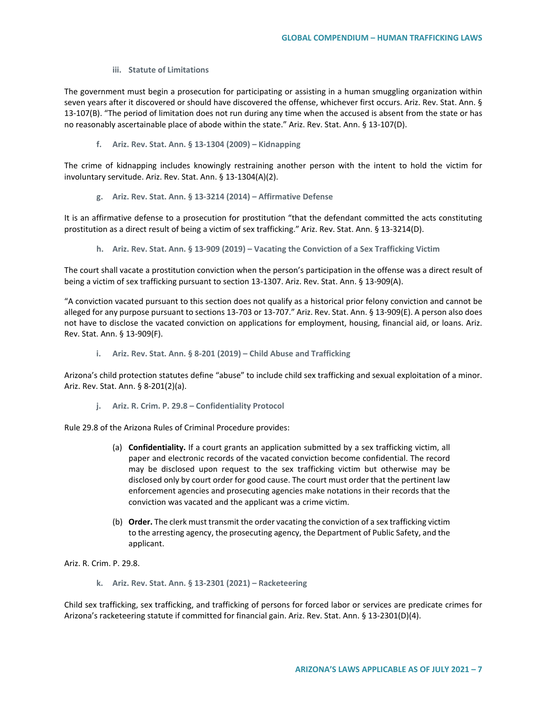#### **iii. Statute of Limitations**

The government must begin a prosecution for participating or assisting in a human smuggling organization within seven years after it discovered or should have discovered the offense, whichever first occurs. Ariz. Rev. Stat. Ann. § 13-107(B). "The period of limitation does not run during any time when the accused is absent from the state or has no reasonably ascertainable place of abode within the state." Ariz. Rev. Stat. Ann. § 13-107(D).

**f. Ariz. Rev. Stat. Ann. § 13-1304 (2009) – Kidnapping**

The crime of kidnapping includes knowingly restraining another person with the intent to hold the victim for involuntary servitude. Ariz. Rev. Stat. Ann. § 13-1304(A)(2).

**g. Ariz. Rev. Stat. Ann. § 13-3214 (2014) – Affirmative Defense**

It is an affirmative defense to a prosecution for prostitution "that the defendant committed the acts constituting prostitution as a direct result of being a victim of sex trafficking." Ariz. Rev. Stat. Ann. § 13-3214(D).

**h. Ariz. Rev. Stat. Ann. § 13-909 (2019) – Vacating the Conviction of a Sex Trafficking Victim**

The court shall vacate a prostitution conviction when the person's participation in the offense was a direct result of being a victim of sex trafficking pursuant to section 13-1307. Ariz. Rev. Stat. Ann. § 13-909(A).

"A conviction vacated pursuant to this section does not qualify as a historical prior felony conviction and cannot be alleged for any purpose pursuant to sections 13-703 or 13-707." Ariz. Rev. Stat. Ann. § 13-909(E). A person also does not have to disclose the vacated conviction on applications for employment, housing, financial aid, or loans. Ariz. Rev. Stat. Ann. § 13-909(F).

**i. Ariz. Rev. Stat. Ann. § 8-201 (2019) – Child Abuse and Trafficking** 

Arizona's child protection statutes define "abuse" to include child sex trafficking and sexual exploitation of a minor. Ariz. Rev. Stat. Ann. § 8-201(2)(a).

**j. Ariz. R. Crim. P. 29.8 – Confidentiality Protocol**

Rule 29.8 of the Arizona Rules of Criminal Procedure provides:

- (a) **Confidentiality.** If a court grants an application submitted by a sex trafficking victim, all paper and electronic records of the vacated conviction become confidential. The record may be disclosed upon request to the sex trafficking victim but otherwise may be disclosed only by court order for good cause. The court must order that the pertinent law enforcement agencies and prosecuting agencies make notations in their records that the conviction was vacated and the applicant was a crime victim.
- (b) **Order.** The clerk must transmit the order vacating the conviction of a sex trafficking victim to the arresting agency, the prosecuting agency, the Department of Public Safety, and the applicant.

Ariz. R. Crim. P. 29.8.

**k. Ariz. Rev. Stat. Ann. § 13-2301 (2021) – Racketeering**

Child sex trafficking, sex trafficking, and trafficking of persons for forced labor or services are predicate crimes for Arizona's racketeering statute if committed for financial gain. Ariz. Rev. Stat. Ann. § 13-2301(D)(4).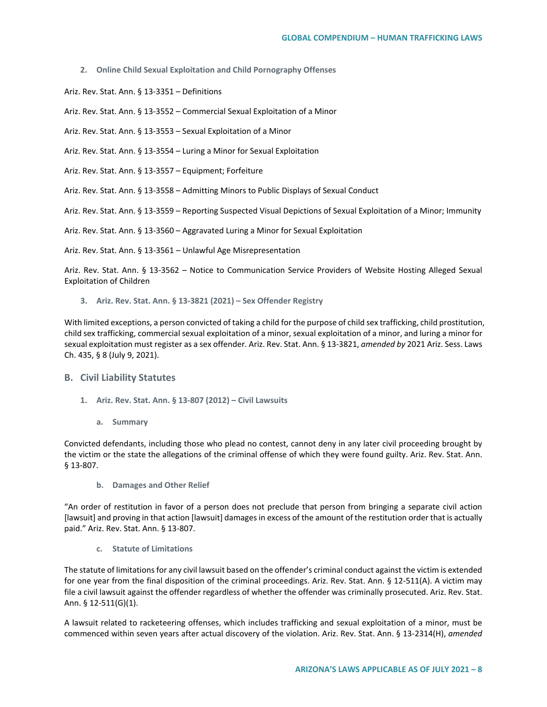**2. Online Child Sexual Exploitation and Child Pornography Offenses**

Ariz. Rev. Stat. Ann. § 13-3351 – Definitions

Ariz. Rev. Stat. Ann. § 13-3552 – Commercial Sexual Exploitation of a Minor

Ariz. Rev. Stat. Ann. § 13-3553 – Sexual Exploitation of a Minor

Ariz. Rev. Stat. Ann. § 13-3554 – Luring a Minor for Sexual Exploitation

Ariz. Rev. Stat. Ann. § 13-3557 – Equipment; Forfeiture

Ariz. Rev. Stat. Ann. § 13-3558 – Admitting Minors to Public Displays of Sexual Conduct

Ariz. Rev. Stat. Ann. § 13-3559 – Reporting Suspected Visual Depictions of Sexual Exploitation of a Minor; Immunity

Ariz. Rev. Stat. Ann. § 13-3560 – Aggravated Luring a Minor for Sexual Exploitation

Ariz. Rev. Stat. Ann. § 13-3561 – Unlawful Age Misrepresentation

Ariz. Rev. Stat. Ann. § 13-3562 – Notice to Communication Service Providers of Website Hosting Alleged Sexual Exploitation of Children

**3. Ariz. Rev. Stat. Ann. § 13-3821 (2021) – Sex Offender Registry** 

With limited exceptions, a person convicted of taking a child for the purpose of child sex trafficking, child prostitution, child sex trafficking, commercial sexual exploitation of a minor, sexual exploitation of a minor, and luring a minor for sexual exploitation must register as a sex offender. Ariz. Rev. Stat. Ann. § 13-3821, *amended by* 2021 Ariz. Sess. Laws Ch. 435, § 8 (July 9, 2021).

# **B. Civil Liability Statutes**

- **1. Ariz. Rev. Stat. Ann. § 13-807 (2012) – Civil Lawsuits** 
	- **a. Summary**

Convicted defendants, including those who plead no contest, cannot deny in any later civil proceeding brought by the victim or the state the allegations of the criminal offense of which they were found guilty. Ariz. Rev. Stat. Ann. § 13-807.

**b. Damages and Other Relief**

"An order of restitution in favor of a person does not preclude that person from bringing a separate civil action [lawsuit] and proving in that action [lawsuit] damages in excess of the amount of the restitution order that is actually paid." Ariz. Rev. Stat. Ann. § 13-807.

**c. Statute of Limitations**

The statute of limitations for any civil lawsuit based on the offender's criminal conduct against the victim is extended for one year from the final disposition of the criminal proceedings. Ariz. Rev. Stat. Ann. § 12-511(A). A victim may file a civil lawsuit against the offender regardless of whether the offender was criminally prosecuted. Ariz. Rev. Stat. Ann. § 12-511(G)(1).

A lawsuit related to racketeering offenses, which includes trafficking and sexual exploitation of a minor, must be commenced within seven years after actual discovery of the violation. Ariz. Rev. Stat. Ann. § 13-2314(H), *amended*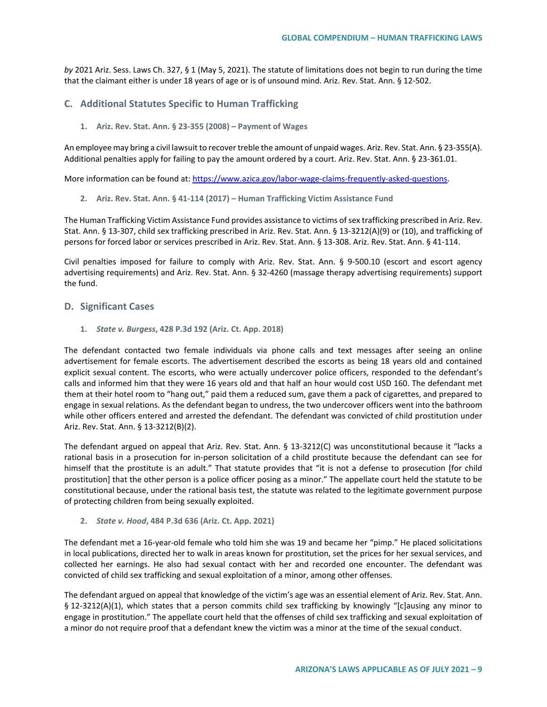*by* 2021 Ariz. Sess. Laws Ch. 327, § 1 (May 5, 2021). The statute of limitations does not begin to run during the time that the claimant either is under 18 years of age or is of unsound mind. Ariz. Rev. Stat. Ann. § 12-502.

# **C. Additional Statutes Specific to Human Trafficking**

**1. Ariz. Rev. Stat. Ann. § 23-355 (2008) – Payment of Wages**

An employee may bring a civil lawsuit to recover treble the amount of unpaid wages. Ariz. Rev. Stat. Ann. § 23-355(A). Additional penalties apply for failing to pay the amount ordered by a court. Ariz. Rev. Stat. Ann. § 23-361.01.

More information can be found at[: https://www.azica.gov/labor-wage-claims-frequently-asked-questions.](https://www.azica.gov/labor-wage-claims-frequently-asked-questions)

**2. Ariz. Rev. Stat. Ann. § 41-114 (2017) – Human Trafficking Victim Assistance Fund**

The Human Trafficking Victim Assistance Fund provides assistance to victims of sex trafficking prescribed in Ariz. Rev. Stat. Ann. § 13-307, child sex trafficking prescribed in Ariz. Rev. Stat. Ann. § 13-3212(A)(9) or (10), and trafficking of persons for forced labor or services prescribed in Ariz. Rev. Stat. Ann. § 13-308. Ariz. Rev. Stat. Ann. § 41-114.

Civil penalties imposed for failure to comply with Ariz. Rev. Stat. Ann. § 9-500.10 (escort and escort agency advertising requirements) and Ariz. Rev. Stat. Ann. § 32-4260 (massage therapy advertising requirements) support the fund.

### **D. Significant Cases**

**1.** *State v. Burgess***, 428 P.3d 192 (Ariz. Ct. App. 2018)**

The defendant contacted two female individuals via phone calls and text messages after seeing an online advertisement for female escorts. The advertisement described the escorts as being 18 years old and contained explicit sexual content. The escorts, who were actually undercover police officers, responded to the defendant's calls and informed him that they were 16 years old and that half an hour would cost USD 160. The defendant met them at their hotel room to "hang out," paid them a reduced sum, gave them a pack of cigarettes, and prepared to engage in sexual relations. As the defendant began to undress, the two undercover officers went into the bathroom while other officers entered and arrested the defendant. The defendant was convicted of child prostitution under Ariz. Rev. Stat. Ann. § 13-3212(B)(2).

The defendant argued on appeal that Ariz. Rev. Stat. Ann. § 13-3212(C) was unconstitutional because it "lacks a rational basis in a prosecution for in-person solicitation of a child prostitute because the defendant can see for himself that the prostitute is an adult." That statute provides that "it is not a defense to prosecution [for child prostitution] that the other person is a police officer posing as a minor." The appellate court held the statute to be constitutional because, under the rational basis test, the statute was related to the legitimate government purpose of protecting children from being sexually exploited.

#### **2.** *State v. Hood***, 484 P.3d 636 (Ariz. Ct. App. 2021)**

The defendant met a 16-year-old female who told him she was 19 and became her "pimp." He placed solicitations in local publications, directed her to walk in areas known for prostitution, set the prices for her sexual services, and collected her earnings. He also had sexual contact with her and recorded one encounter. The defendant was convicted of child sex trafficking and sexual exploitation of a minor, among other offenses.

The defendant argued on appeal that knowledge of the victim's age was an essential element of Ariz. Rev. Stat. Ann. § 12-3212(A)(1), which states that a person commits child sex trafficking by knowingly "[c]ausing any minor to engage in prostitution." The appellate court held that the offenses of child sex trafficking and sexual exploitation of a minor do not require proof that a defendant knew the victim was a minor at the time of the sexual conduct.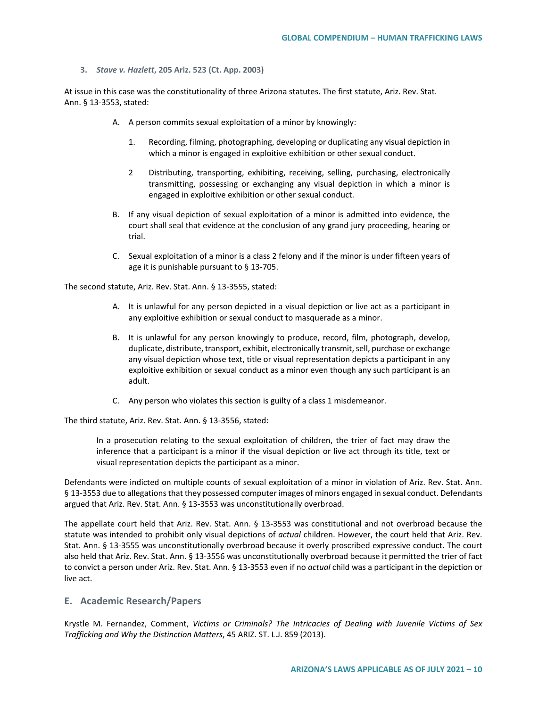**3.** *Stave v. Hazlett***, 205 Ariz. 523 (Ct. App. 2003)**

At issue in this case was the constitutionality of three Arizona statutes. The first statute, Ariz. Rev. Stat. Ann. § 13-3553, stated:

- A. A person commits sexual exploitation of a minor by knowingly:
	- 1. Recording, filming, photographing, developing or duplicating any visual depiction in which a minor is engaged in exploitive exhibition or other sexual conduct.
	- 2 Distributing, transporting, exhibiting, receiving, selling, purchasing, electronically transmitting, possessing or exchanging any visual depiction in which a minor is engaged in exploitive exhibition or other sexual conduct.
- B. If any visual depiction of sexual exploitation of a minor is admitted into evidence, the court shall seal that evidence at the conclusion of any grand jury proceeding, hearing or trial.
- C. Sexual exploitation of a minor is a class 2 felony and if the minor is under fifteen years of age it is punishable pursuant to § 13-705.

The second statute, Ariz. Rev. Stat. Ann. § 13-3555, stated:

- A. It is unlawful for any person depicted in a visual depiction or live act as a participant in any exploitive exhibition or sexual conduct to masquerade as a minor.
- B. It is unlawful for any person knowingly to produce, record, film, photograph, develop, duplicate, distribute, transport, exhibit, electronically transmit, sell, purchase or exchange any visual depiction whose text, title or visual representation depicts a participant in any exploitive exhibition or sexual conduct as a minor even though any such participant is an adult.
- C. Any person who violates this section is guilty of a class 1 misdemeanor.

The third statute, Ariz. Rev. Stat. Ann. § 13-3556, stated:

In a prosecution relating to the sexual exploitation of children, the trier of fact may draw the inference that a participant is a minor if the visual depiction or live act through its title, text or visual representation depicts the participant as a minor.

Defendants were indicted on multiple counts of sexual exploitation of a minor in violation of Ariz. Rev. Stat. Ann. § 13-3553 due to allegations that they possessed computer images of minors engaged in sexual conduct. Defendants argued that Ariz. Rev. Stat. Ann. § 13-3553 was unconstitutionally overbroad.

The appellate court held that Ariz. Rev. Stat. Ann. § 13-3553 was constitutional and not overbroad because the statute was intended to prohibit only visual depictions of *actual* children. However, the court held that Ariz. Rev. Stat. Ann. § 13-3555 was unconstitutionally overbroad because it overly proscribed expressive conduct. The court also held that Ariz. Rev. Stat. Ann. § 13-3556 was unconstitutionally overbroad because it permitted the trier of fact to convict a person under Ariz. Rev. Stat. Ann. § 13-3553 even if no *actual* child was a participant in the depiction or live act.

# **E. Academic Research/Papers**

Krystle M. Fernandez, Comment, *Victims or Criminals? The Intricacies of Dealing with Juvenile Victims of Sex Trafficking and Why the Distinction Matters*, 45 ARIZ. ST. L.J. 859 (2013).